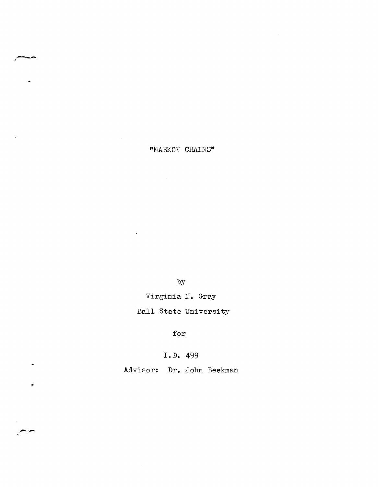"MARKOV CHAINS"

. -

 $\cdot$ 

 $\ddot{ }$ 

by

Virginia M. Gray

Ball State University

for

**I.D.** 499

Advisor: **Dr.** John Beekman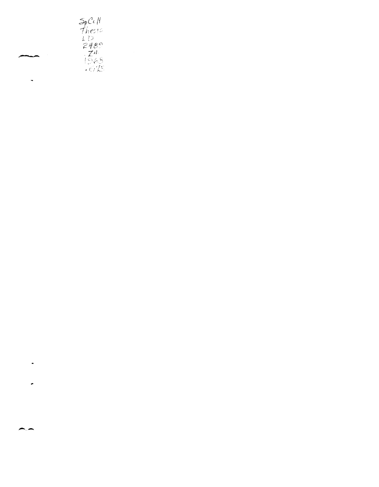

 $\overline{a}$ 

 $\ddot{\phantom{0}}$ 

÷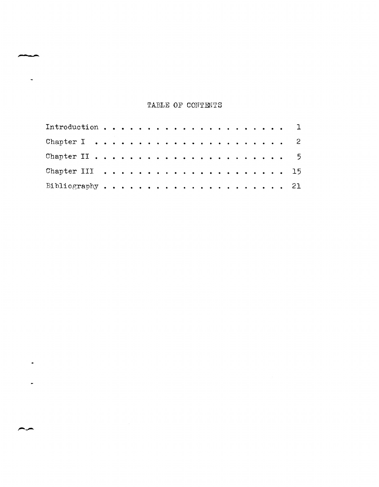# TABLE OF CONTENTS

**".- .....** 

 $\ddot{\phantom{a}}$ 

 $\overline{a}$ 

 $\ddot{\phantom{1}}$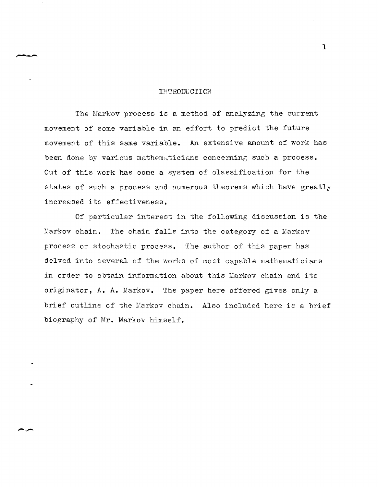#### INTRODUCTION

The Markov process is a method of analyzing the current movement of some variable in an effort to predict the future movement of this same variable. An extensive amount of work has been done by various mathematicians concerning such a process. Out of this work has come a system of classification for the states of such a process and numerous theorems which have greatly increased its effectiveness.

Of particular interest in the following discussion is the Markov chain. The chain falls into the category of a Markov process or stochastic process. The author of this paper has delved into several of the works of most capable mathematicians in order to obtain information about this Markov chain and its originator, A. A. Markov. The paper here offered gives only a brief outline of the Markov chain. Also included here is a brief biography of Mr. Markov himself.

 $\mathbf{I}$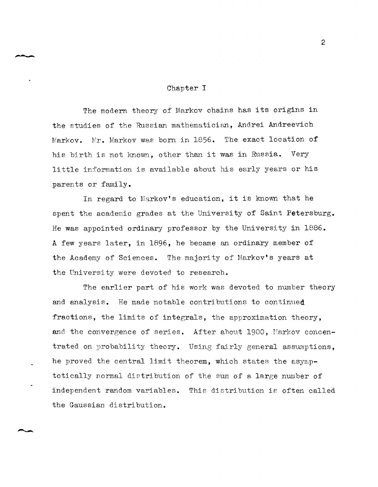# Chapter I

The modern theory of Markov chains has its origins in the studies of the Russian mathematician, Andrei Andreevich Markov. Mr. Markov was born in 1856. The exact location of his birth is not known, other than it was in Russia. Very little information is available about his early years or his parents or family.

In regard to Markov's education, it is known that he spent the academic grades at the University of Saint Petersburg. He was appointed ordinary professor by the University in 1886. A few years later, in 1896, he became an ordinary member of the Academy of Sciences. The majority of Markov's years at the University were devoted to research.

The earlier part of his work was devoted to number theory and analysis. He made notable contributions to continued fractions, the limits of integrals, the approximation theory, and the convergence of series. After about 1900, Markov concentrated on probability theory. Using fairly general assumptions, he proved the central limit theorem, which states the asymptotically normal distribution of the sum of a large number of independent random variables. This distribution is often called the Gaussian distribution.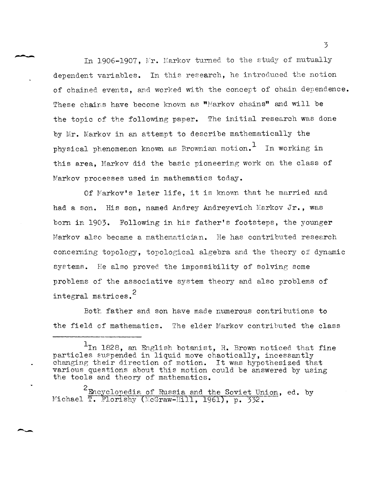In 1906-1907, Mr. Markov turned to the study of mutually dependent variables. In this research, he introduced the notion of chained events, and worked with the concept of chain dependence. These chains have become known as "Markov chains" and will be the topic of the following paper. The initial research was done by Mr. Markov in an attempt to describe mathematically the physical phenomenon known as Brownian motion.<sup>1</sup> In working in this area, Markov did the basic pioneering work on the class of Markov processes used in mathematics today.

Of Markov's later life, it is known that he married and had a son. His son, named Andrey Andreyevich Markov Jr., was born in 1903. Following in his father's footsteps, the younger Markov also became a mathematician. He has contributed research concerming topology, topological algebra and the theory of dynamic systems. He also proved the impossibility of solving some problems of the associative system theory and also problems of integral matrices. <sup>2</sup>

Both father and son have made numerous contributions to the field of mathematics. The elder Markov contributed the class

<sup>&</sup>lt;sup>1</sup>In 1828, an English botanist, R. Brown noticed that fine particles suspended in liquid move chaotically, incessantly changing their direction of motion. It was hypothesized that various questions about this motion could be answered by using the tools and theory of mathematics.

 $\leq$  Encyclopedia of Russia and the Soviet Union, ed. by Michael T. Florishy (McGraw-Hill, 1961), p. 332.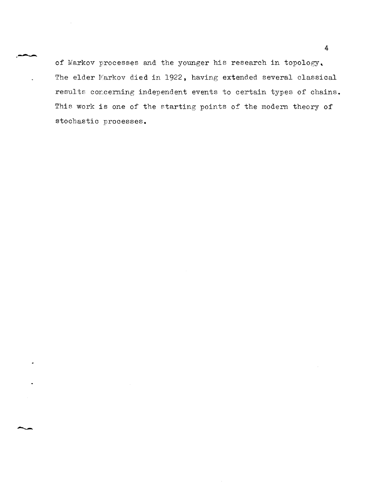of Markov processes and the younger his research in topology, The elder Markov died in 1922, having extended several classical results cor.cerning independent events to certain types of chains. This work is one of the starting points of the modern theory of stochastic processes.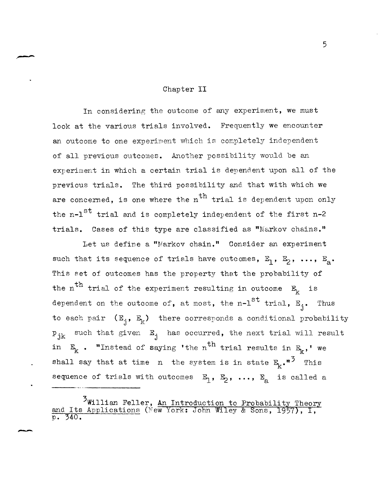### Chapter II

In considering the outcome of any experiment, we must look at the various trials involved. Frequently we encounter an outcome to one experiment which is completely independent of all previous outcomes. Another possibility would be an experiment in which a certain trial is dependent upon all of the previous trials. The third possibility and that with which we are concerned, is one where the  $n<sup>th</sup>$  trial is dependent upon only the  $n-1$ <sup>st</sup> trial and is completely independent of the first n-2 trials. Cases of this type are classified as "Markov chains."

Let us define a "Markov chain." Consider an experiment such that its sequence of trials have outcomes,  $E_1$ ,  $E_2$ , ...,  $E_a$ . This set of outcomes has the property that the probability of the n<sup>th</sup> trial of the experiment resulting in outcome  $E_k$  is dependent on the outcome of, at most, the n-l $^{\rm st}$  trial,  $\tt F_j.$  Thus to each pair  $(E_i, E_k)$  there corresponds a conditional probability  ${\tt p_{jk}}$  such that given  ${\tt E}_j$  has occurred, the next trial will result in  $E_k$  . "Instead of saying 'the n<sup>th</sup> trial results in  $E_k$ ,' we shall say that at time n the system is in state  $E_k \cdot r^3$  This sequence of trials with outcomes  $\mathbb{E}_{1}$ ,  $\mathbb{E}_{2}$ , ...,  $\mathbb{E}_{a}$  is called a

<sup>2</sup>Willian Feller, An Introduction to Probability Theory and Its Applications (New York: John Wiley & Sons, 1957), I,  $p. 340.$ 

--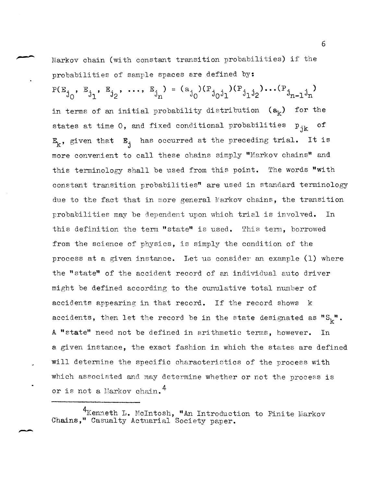Markov chain (with constant transition probabilities) if the probabilities of sample spaces are defined by:  $P(E_{j_0}, E_{j_1}, E_{j_2}, ..., E_{j_n}) = (a_{j_0})(P_{j_0j_1})(P_{j_1j_2})... (P_{j_{n-1}j_n})$ in terms of an initial probability distribution  $(a_k)$  for the states at time 0, and fixed conditional probabilities  $p_{ijk}$ **E1c,** given that Ej has occurred at the preceding trial. It is more convenient to call these chains simply "Markov chains" and this terminology shall be used from this point. The words "with constant transition probabilities" are used in standard terminology due to the fact that in more general Narkov chains, the transition probabilities may be dependent upon which trial is involved. In this definition the term "state" is used. This term, borrowed from the science of physics, is simply the condition of the process at a given instance. Let us consider an example (1) where the "state" of the accident record of an individual auto driver might be defined according to the cumulative total number of accidents appearing in that record. If the record shows k accidents, then let the record be in the state designated as  ${}^{\prime\prime}\text{S}_{k}{}^{\prime\prime}$ . A "state" need not be defined in arithmetic terms, however. In a given instance, the exact fashion in which the states are defined will determine the specific characteristics of the process with which associated and may determine whether or not the process is or is not a Harkov chain. 4

--

<sup>&</sup>lt;sup>4</sup>Kenneth L. McIntosh, "An Introduction to Finite Markov Chains," Casualty Actuarial Society paper.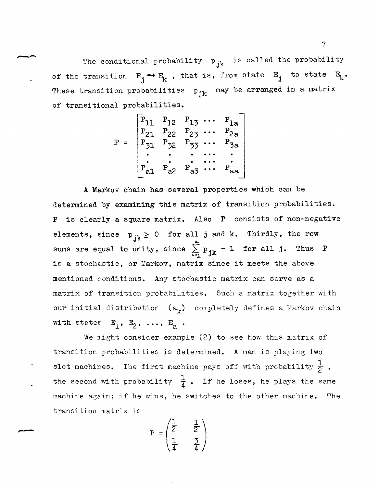The conditional probability  $p_{jk}$  is called the probability of the transition  $E_j \rightarrow E_k$ , that is, from state  $E_j$  to state  $E_k$ . These transition probabilities  $p_{jk}$  may be arranged in a matrix of transitional probabilities.

$$
P = \begin{bmatrix} P_{11} & P_{12} & P_{13} & \cdots & P_{1a} \\ P_{21} & P_{22} & P_{23} & \cdots & P_{2a} \\ P_{31} & P_{32} & P_{33} & \cdots & P_{3a} \\ \vdots & \vdots & \vdots & \ddots & \vdots \\ P_{a1} & P_{a2} & P_{a3} & \cdots & P_{aa} \end{bmatrix}
$$

A Markov chain has several properties which can be determined by examining this matrix of transition probabilities. is clearly a square matrix. Also  $P$  consists of non-negative elements, since  $p_{jk} \ge 0$  for all j and k. Thirdly, the row sums are equal to unity, since  $\sum_{k=1}^{\infty} p_{jk} = 1$  for all j. Thus **P** is a stochastic, or Markov, matrix since it meets the above mentioned conditions. Any stochastic matrix can serve as a matrix of transition probabilities. Such a matrix together with our initial distribution  $(a_k)$  completely defines a Markov chain with states  $E_1$ ,  $E_2$ ,  $\ldots$ ,  $E_a$ .

We might consider example  $(2)$  to see how this matrix of transition probabilities is determined. A man is playing two slot machines. The first machine pays off with probability  $\frac{1}{2}$ , the second with probability  $\frac{1}{4}$ . If he loses, he plays the same machine again; if he wins, he switches to the other machine. The transition matrix is

$$
P = \begin{pmatrix} \frac{1}{2} & \frac{1}{2} \\ \frac{1}{4} & \frac{3}{4} \end{pmatrix}
$$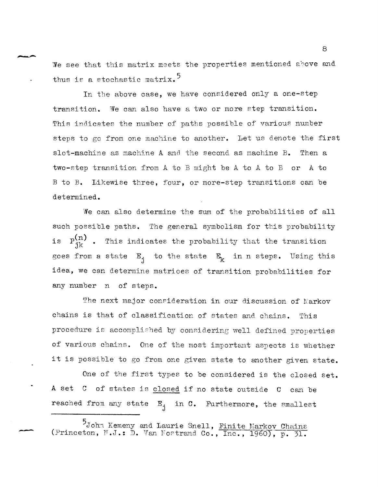We see that this matrix meets the properties mentioned above and thus is a stochastic matrix.<sup>5</sup>

--

-

In the above case, we have considered only a one-step transition. We can also have a two or more step transition. This indicates the number of paths possible of various number steps to gc from one machine to another. Let us denote the first slot-machine as machine A and the second as machine B. Then a two-step transition from A to B might be A to A to B or A to B to B. Likewise three, four, or more-step transitions can be determined.

We can also determine the sum of the probabilities of all such possible paths. The general symbolism for this probability is  $P_{jk}^{(n)}$  . This indicates the probability that the transition goes from a state  $E_j$  to the state  $E_k$  in n steps. Using this idea, we can determine matrices of transition probabilities for any number n of steps.

The next major consideration in our discussion of Markov chains is that of classification of states and chains. This procedure is accomplished by considering well defined properties of various chains. One of the most important aspects is whether it is possible to go from one given state to another given state.

One of the first types to be considered is the closed set. A set C of states is closed if no state outside C can be reached from any state  $E_j$  in C. Furthermore, the smallest

John Kemeny and Laurie Snell, Finite Markov Chains (Princeton,  $N.J.$ : D. Van Fostrand Co., Inc., 1960), p. 31.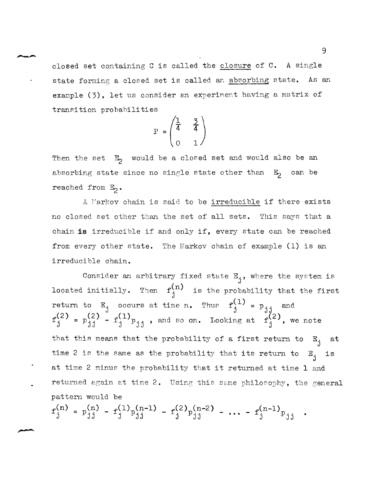closed set containing C is called the closure of **C.** A single state forming a closed set is called an absorbing state. As an example  $(3)$ , let us consider an experiment having a matrix of transition probahilities

$$
P = \begin{pmatrix} \frac{1}{4} & \frac{3}{4} \\ 0 & 1 \end{pmatrix}
$$

Then the set  $E_2$  would be a closed set and would also be an absorbing state since no single state other than  $E_2$  can be reached from  $E_2$ .

A Markov chain is said to be irreducible if there exists no closed set other than the set of all sets. This says that a chain **is** irreducible if and only if, every state can be reached from every other state. The Markov chain of example (1) is an irreducible chain.

Consider an arbitrary fixed state  $E_j$ , where the system is located initially. Then  $f^{(n)}_{j}$  is the probability that the first return to E<sub>j</sub> occurs at time n. Thus  $f_j^{(1)} = p_{jj}$  and  $f_j^{(2)} = p_{jj}$ .  $f^{(2)}_j = p^{(2)}_{j,j} - f^{(1)}_{j} p_{j,j}$ , and so on. Looking at  $f^{(2)}_j$ , we J  $j^{(2)} = p^{(2)}_{jj} - f^{(1)}_{j} p_{jj}$ , and so on. Looking at  $f^{(2)}_{j}$ , we note that this means that the probability of a first return to  $E_i$ time 2 is the same as the probability that its return to  $E_i$ at time 2 minus the probability that it returned at time 1 and J at J is returned again at time 2. Using this same philosophy, the general pattern would be

 $f^{(n)}_j = p^{(n)}_{j,j} - f^{(1)}_jp^{(n-1)}_{j,j} - f^{(2)}_jp^{(n-2)}_{j,j} - \cdots - f^{(n-1)}_{j}p_{j,j}$ .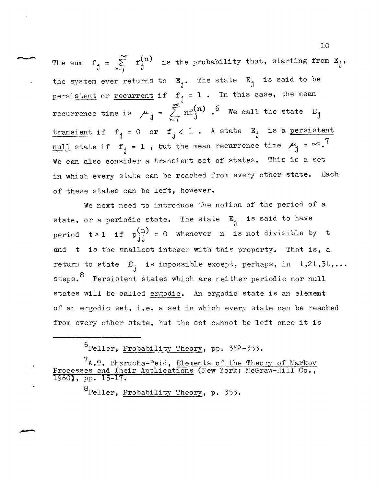The sum  $f_j = \sum_{n=j}^{\infty} f_j^{(n)}$  is the probability that, starting from  $E_j$ , the system ever returns to  $E_j$ . The state  $E_j$  is said to be persistent or recurrent if  $f_j = 1$ . In this case, the mean recurrence time is  $\mu_j = \sum_{n=1}^{\infty} nf_j^{(n)}$ . <sup>6</sup> We call the state E<sub>j</sub> transient if  $f_j = 0$  or  $f_j < 1$ . A state  $E_j$  is a persistent  $\frac{1}{2}$  state if  $f_j = 1$ , but the mean recurrence time  $\mu_j = \infty$ .<sup>7</sup> We can also consider a transient set of states. This is a set in which every state can be reached from every other state. Each of these states can be left, however.

We next need to introduce the notion of the period of a state, or a periodic state. The state  $E_j$  is said to have period  $t > 1$  if  $p_{j,j}^{(n)} = 0$ whenever n is not divisible by t and t is the smallest integer with this property. That is, a return to state  $E_j$  is impossible except, perhaps, in t,2t,3t,... steps. <sup>8</sup> Persistent states which are neither periodic nor null states will be called ergodic. An ergodic state is an element of an ergodic set, i.e. a set in which every state can be reached from every other state, but the set cannot be left once it is

6Feller, Probabilj~ty The~, *pp. 352-353.* 

<sup>8</sup>Feller, Probability Theory, p. 353.

---

 $7A.$ T. Bharucha-Reid, Elements of the Theory of Markov Processes and Their Applications (New York: McGraw-Hill Co., 1960), pp. 15-17.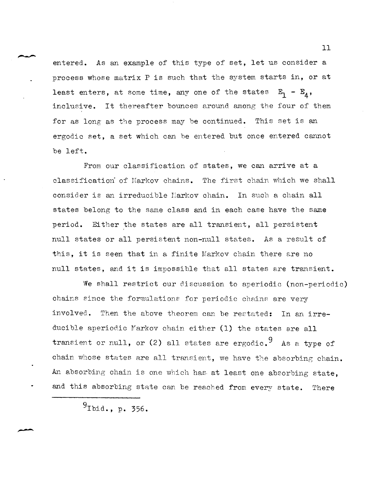entered. As an example of this type of set, let us consider a process whose matrix P is such that the system starts in, or at least enters, at some time, any one of the states  $E_1 - E_4$ , inclusive. It thereafter bounces around among the four of them for as long as the process may be continued. This set is an ergodic set, a set which can he entered but once entered cannot be left.

From our classification of states, we can arrive at a classification" of Harkov chains. The first chain which we shall consider is an irreducible Markov chain. In such a chain all states belong to the same class and in each case have the same period. Either the states are all transient, all persistent null states or all persistent non-null states. As a result of this, it is seen that in a finite Markov chain there are no null states, and it is impossible that all states are transient.

We shall restrict our discussion to aperiodic (non-periodic) chains since the formulations for periodic chains are very involved. Then the above theorem can be restated: In an irreducible aperiodic Markov chain either (1) the states are all transient or null, or (2) all states are ergodic.<sup>9</sup> As a type of chain whose states are all transient, we have the absorbing chain. An absorbing chain is one which has at least one absorbing state. and this absorbing state can be reached from every state. There

 $9$ Ibid., p. 356.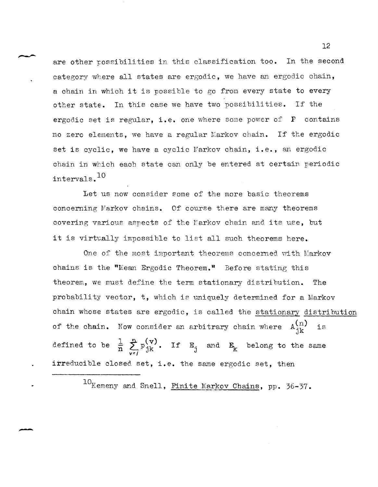are other possibilities in this classification too. In the second category where all states are ergodic, we have an ergodic chain, a chain in which it is possible to go fron every state to every other state. In this case we have two possibilities. If the ergodic set is regular, i.e. one where some power of  $P$  contains no zero elements, we have a regular Markov chain. If the ergodic set is cyclic, we have a cyclic Markov chain, i.e., an ergodic chain in which each state can only be entered at certain periodic intervals.<sup>10</sup>

Let us now consider some of the more basic theorems concerning Markov chains. Of course there are many theorems covering various aspects of the Markov chain and its use, but it is virtually impossible to list all such theorems here.

One of the most important theorems concerned with Markov chains is the "Mean Ergodic Theorem." Before stating this theorem, we must define the term stationary distribution. The probability vector, t, which is uniquely determined for a Markov chain whose states are ergodic, is called the stationary distribution of the chain. Now consider an arbitrary chain where  $A_{jk}^{(n)}$  is defined to be  $\frac{1}{n} \sum_{j=1}^{n} p_{jk}^{(v)}$ .  $v = f$ If  $E_j$  and  $E_k$  belong to the same irreducible closed set, i.e. the same ergodic set, then

10 Kemeny and Snell, Finite Markov Chains, pp. 36-37.

-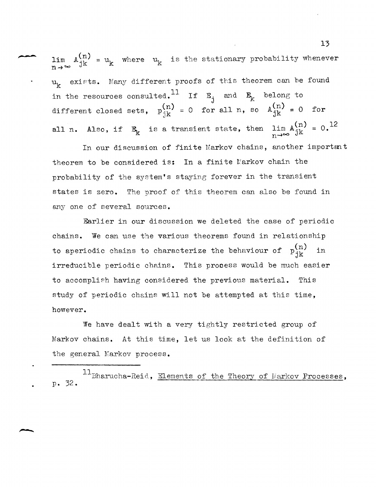lim  $n \rightarrow \infty$  $A_{jk}^{(n)} = u_k$  where  $u_k$  is the stationary probability whenever  $u_k$  exists. Many different proofs of this theorem can be found in the resources consulted.<sup>11</sup> If  $E_j$  and  $E_k$  belong to<br>different closed sets,  $p_{jk}^{(n)} = 0$  for all n, so  $A_{jk}^{(n)} = 0$  for all n. Also, if  $E_k$  is a transient state, then  $\lim_{n\to\infty} A_{jk}^{(n)} = 0$ .<sup>12</sup>

In our discussion of finite Markov chains, another important theorem to be considered is: In a finite Markov chain the probability of the system's staying forever in the transient states is zero. The proof of this theorem can also be found in any one of several sources.

Earlier in our discussion we deleted the case of periodic chains. We can use the various theorems found in relationship to aperiodic chains to characterize the behaviour of  $p_{jk}^{(n)}$  in irreducible periodic chains. This process would be much easier to accomplish having considered the previous material. This study of periodic chains will not be attempted at this time, however.

We have dealt with a very tightly restricted group of Markov chains. At this time, let us look at the definition of the general Markov process.

llBharucha-Reid, Elements of the Theory of Markov Processes, p. 32.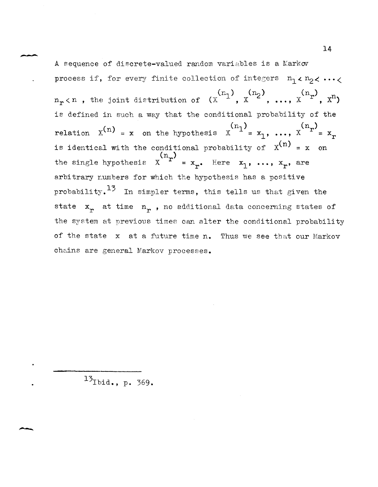A sequence of discrete-valued random variables is a Markov process if, for every finite collection of integers  $n_1 \times n_2 \times \cdots \times n_n$  $n_r$  (n, the joint distribution of  $(x^{(n_1)}, x^{(n_2)}, ..., x^{(n_r)}, x^n)$ is defined in such a way that the conditional probability of the relation  $X^{(n)} = x$  on the hypothesis  $X^{(n)} = x_1, ..., X^{(n)} = x_n$ is identical with the conditional probability of  $x^{(n)} = x$  on the single hypothesis  $x^{(n_r)} = x_{n_r}$ . Here  $x_1, ..., x_r$ , are arbitrary numbers for which the hypothesis has a positive probability.<sup>13</sup> In simpler terms, this tells us that given the state  $x_r$  at time  $n_r$ , no additional data concerning states of the system at previous times can alter the conditional probability of the state x at a future time n. Thus we see that our Markov chains are general Markov processes.

 $^{13}$ Ibid., p. 369.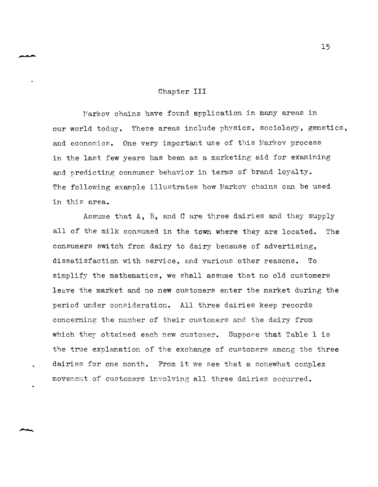#### Chapter **III**

Markov chains have found application in many areas in our world today. These areas include physics, sociology, genetics, and economics. One very important use of this Markov process in the last few years has been as a marketing aid for examining and predicting consumer behavior in terms of brand loyalty. The following example illustrates how Markov chains can be used in this area.

Assume that A, B, and C are three dairies and they supply all of the milk consumed in the town where they are located. The consumers switch from dairy to dairy because of advertising, dissatisfaction with service, and various other reasons. To simplify the mathematics, we shall assume that no old customers leave the market and no new customers enter the market during the period under consideration. All three dairies keep records concerning the number of their customers and the dairy from which they obtained each new customer. Suppose that Table 1 is the true explanation of the exchange of customers among the three dairies for one month. From it we see that a somewhat complex movement of customers involving all three dairies occurred.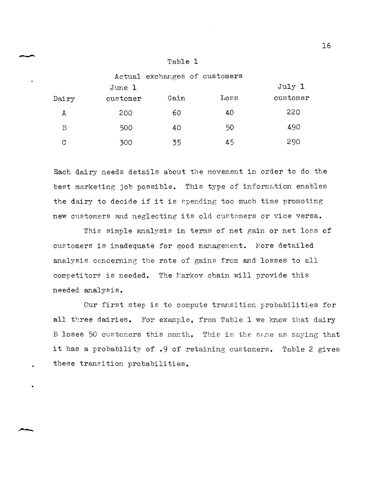| m<br>abi |  |
|----------|--|
|----------|--|

|       |          |      | Actual exchanges of customers |          |
|-------|----------|------|-------------------------------|----------|
|       | June 1   |      |                               | July 1   |
| Dairy | customer | Gain | Loss                          | customer |
| А     | 200      | 60   | 40                            | 220      |
| B     | 500      | 40   | 50                            | 490      |
| C     | 300      | 35   | 45                            | 290      |

Each dairy needs details about the movement in order to do the best marketing job possible. This type of information enables the dairy to decide if it is spending too much time promoting new customers and neglecting its old cuetomers or vice versa.

This simple analysis in terms of net gain or net loss of customers is inadequate for good management. More detailed analysis concerning the rate of gains from and losses to all competitors is needed. The Markov chain will provide this needed analysis.

Our first step is to compute transition probabilities for all three dairies. For example, from Table 1 we know that dairy B loses 50 customers this month. This is the same as saying that it has a probability of .9 of retaining customers. Table 2 gives these transition probabilities.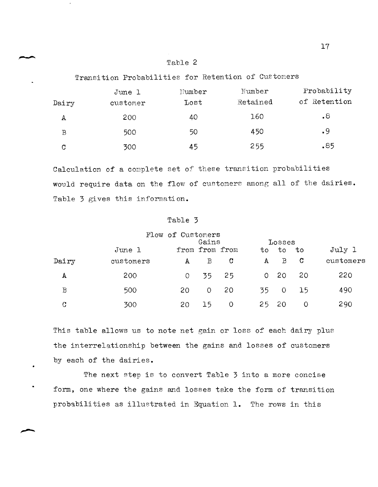## Table 2

Transition Probabilities for Retention of Customers

|       | June 1   | Number | Number   | Probability  |  |  |  |
|-------|----------|--------|----------|--------------|--|--|--|
| Dairy | customer | Lost   | Retained | of Retention |  |  |  |
| А     | 200      | 40     | 160      | $\cdot^8$    |  |  |  |
| B     | 500      | 50     | 450      | .9           |  |  |  |
| C     | 300      | 45     | 255      | .85          |  |  |  |

Calculation of a complete set of these transition probabilities would require data on the flow of customers among all of the dairies. Table 3 gives this information.

# Table 3

|             |           | Flow of Customers |                |             |              |              |    |           |
|-------------|-----------|-------------------|----------------|-------------|--------------|--------------|----|-----------|
|             |           |                   | Gains          |             |              | Losses       |    |           |
|             | June 1    |                   | from from from |             | to           | to           | to | July 1    |
| Dairy       | customers | А                 | B              | $\mathbf C$ | $\mathbf{A}$ | $\mathbf{B}$ | C  | customers |
| A           | 200       | $\Omega$          | 35             | 25          | 0.           | -20          | 20 | 220       |
| $\mathbf B$ | 500       | 20                | $\circ$        | 20          | 35           | $\circ$      | 15 | 490       |
| $\mathbf C$ | 300       | 20                | 15             | 0           | 25           | 20           | O  | 290       |

This table allows us to note net gain or loss of each dairy plus the interrelationship between the gains and losses of customers by each of the dairies.

The next step is to convert Table 3 into a more concise form, one where the gains and losses take the form of transition probabilities as illustrated in Equation 1. The rows in this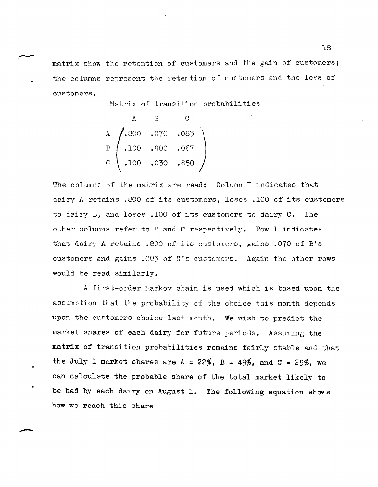matrix show the retention of customers and the gain of customers; the columns represent the retention of customers and the loss of customers.

Matrix of transition probabilities

$$
A \t B \t C
$$
\n
$$
A \t (100 \t .070 \t .083)
$$
\n
$$
B \t (100 \t .000 \t .067)
$$
\n
$$
C \t (100 \t .030 \t .050)
$$

The columns of the matrix are read: Column I indicates that dairy A retains .800 of its customers, loses .100 of its customers to dairy B, and loses .100 of its customers to dairy  $C$ . The other columns refer to B and C respectively. Row I indicates that dairy A retains .800 of its customers, gains .070 of B's customers and gains .083 of C's customers. Again the other rows would be read similarly.

A first-order Markov chain is used which is based upon the assumption that the probability of the choice this month depends upon the customers choice last month. We wish to predict the market shares of each dairy for future periods. Assuming the matrix of transition probabilities remains fairly stable and that the July 1 market shares are  $A = 22\%$ ,  $B = 49\%$ , and  $C = 29\%$ , we can calculate the probable share of the total market likely to be had by each dairy on August 1. The following equation shows how we reach this share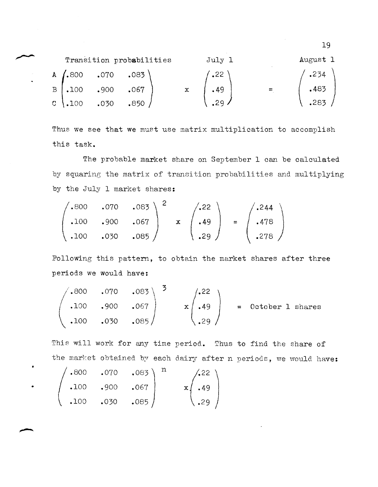|                                       | Transition probabilities | July 1         | August 1         |  |  |  |
|---------------------------------------|--------------------------|----------------|------------------|--|--|--|
| A $(.800 \t .070 \t .083)$            |                          | $\frac{1}{22}$ | $^{\prime}$ .234 |  |  |  |
| $B \mid .100 \qquad .900 \qquad .067$ |                          | .49            | .483             |  |  |  |
| $C \setminus .100$ .030 .850          |                          | .29.           | .283             |  |  |  |

Thus we see that we must use matrix multiplication to accomplish this task.

The probable market share on September 1 can be calculated by squaring the matrix of transition probabilities and multiplying by the July 1 market shares:

$$
\begin{pmatrix}\n.800 & .070 & .083 \\
.100 & .900 & .067 \\
.100 & .030 & .085\n\end{pmatrix}\n\quad\n\mathbf{x}\n\quad\n\begin{pmatrix}\n.22 \\
.49 \\
.29\n\end{pmatrix}\n=\n\begin{pmatrix}\n.244 \\
.478 \\
.278\n\end{pmatrix}
$$

Following this pattern, to obtain the market shares after three periods we would have:

$$
\begin{pmatrix}\n.800 & .070 & .083 \\
.100 & .900 & .067 \\
.100 & .030 & .085\n\end{pmatrix}\n\begin{pmatrix}\n.22 \\
.49 \\
.29\n\end{pmatrix} = October 1 shares
$$

This will work for any time period. Thus to find the share of the market obtained by each dairy after n periods, we would have:

$$
\begin{pmatrix}\n.800 & .070 & .083 \\
.100 & .900 & .067 \\
.100 & .030 & .085\n\end{pmatrix} \begin{pmatrix}\n.22 \\
.49 \\
.29\n\end{pmatrix}
$$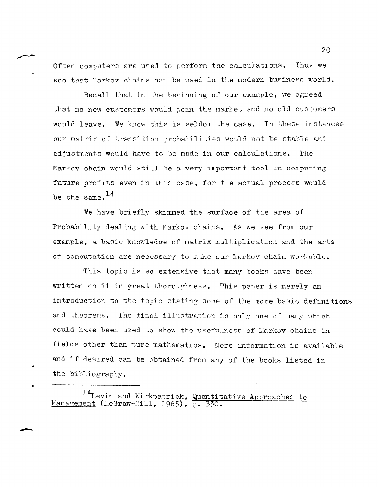Often computers are used to perform the calculations. Thus we see that Markov chains can be used in the modern business world.

Recall that in the beginning of our example, we agreed that no new customers would join the market and no old customers would leave. We know this is seldom the case. In these instances our matrix of transition probabilities would not be stable and adjustments would have to be made in our calculations. The Markov chain would still be a very important tool in computing future profits even in this case, for the actual process would be the same.  $^{14}$ 

We have briefly skimmed the surface of the area of Probability dealing with Markov chains. As we see from our example, a basic knowledge of matrix multiplication and the arts of computation are necessary to make our Markov chain workable.

This topic is so extensive that many books have been written on it in great thoroughness. This paper is merely an introduction to the topic stating some of the more basic definitions and theorems. The final illustration is only one of many which could have been used to show the usefulness of  $\mathbb K$ arkov chains in fields other than pure mathematics. More information is available and if desired can be obtained from any of the books listed in the bibliography.

<sup>14</sup>Levin and Kirkpatrick, Quantitative Approaches to Eanagement (McGraw-Hill, 1965), p. 330.

•

•